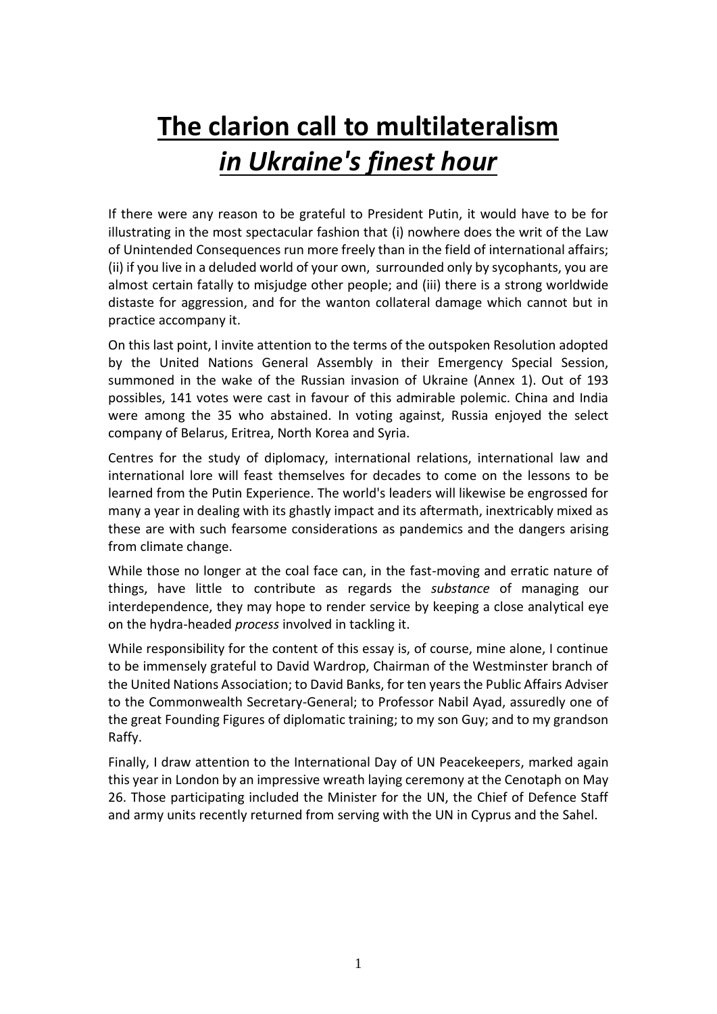# **The clarion call to multilateralism** *in Ukraine's finest hour*

If there were any reason to be grateful to President Putin, it would have to be for illustrating in the most spectacular fashion that (i) nowhere does the writ of the Law of Unintended Consequences run more freely than in the field of international affairs; (ii) if you live in a deluded world of your own, surrounded only by sycophants, you are almost certain fatally to misjudge other people; and (iii) there is a strong worldwide distaste for aggression, and for the wanton collateral damage which cannot but in practice accompany it.

On this last point, I invite attention to the terms of the outspoken Resolution adopted by the United Nations General Assembly in their Emergency Special Session, summoned in the wake of the Russian invasion of Ukraine (Annex 1). Out of 193 possibles, 141 votes were cast in favour of this admirable polemic. China and India were among the 35 who abstained. In voting against, Russia enjoyed the select company of Belarus, Eritrea, North Korea and Syria.

Centres for the study of diplomacy, international relations, international law and international lore will feast themselves for decades to come on the lessons to be learned from the Putin Experience. The world's leaders will likewise be engrossed for many a year in dealing with its ghastly impact and its aftermath, inextricably mixed as these are with such fearsome considerations as pandemics and the dangers arising from climate change.

While those no longer at the coal face can, in the fast-moving and erratic nature of things, have little to contribute as regards the *substance* of managing our interdependence, they may hope to render service by keeping a close analytical eye on the hydra-headed *process* involved in tackling it.

While responsibility for the content of this essay is, of course, mine alone, I continue to be immensely grateful to David Wardrop, Chairman of the Westminster branch of the United Nations Association; to David Banks, for ten years the Public Affairs Adviser to the Commonwealth Secretary-General; to Professor Nabil Ayad, assuredly one of the great Founding Figures of diplomatic training; to my son Guy; and to my grandson Raffy.

Finally, I draw attention to the International Day of UN Peacekeepers, marked again this year in London by an impressive wreath laying ceremony at the Cenotaph on May 26. Those participating included the Minister for the UN, the Chief of Defence Staff and army units recently returned from serving with the UN in Cyprus and the Sahel.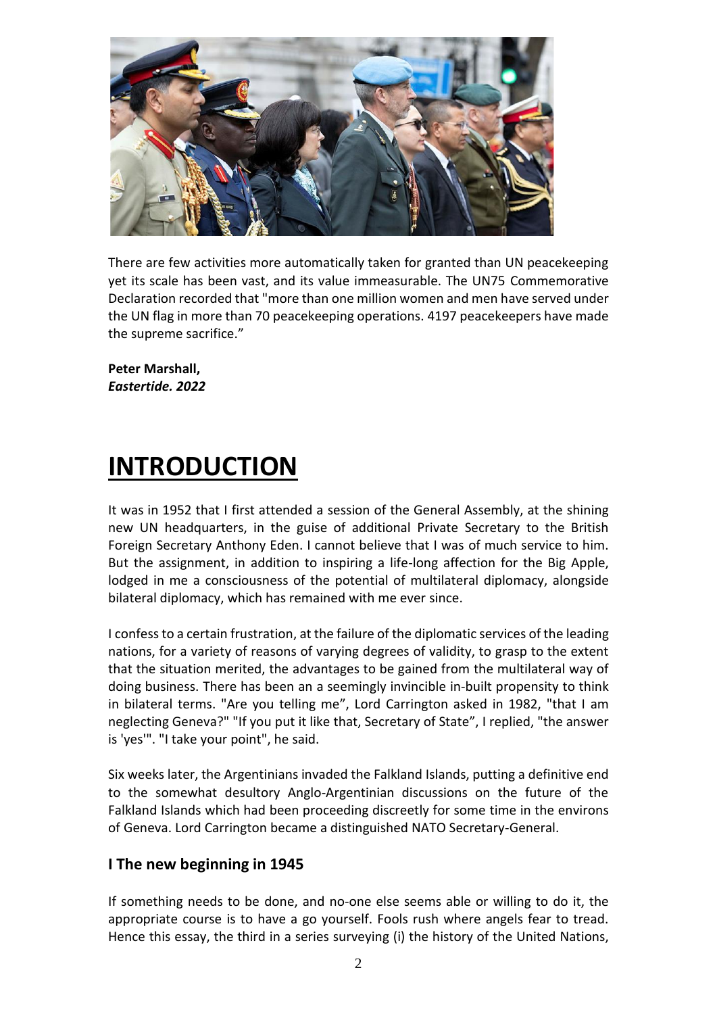

There are few activities more automatically taken for granted than UN peacekeeping yet its scale has been vast, and its value immeasurable. The UN75 Commemorative Declaration recorded that "more than one million women and men have served under the UN flag in more than 70 peacekeeping operations. 4197 peacekeepers have made the supreme sacrifice."

**Peter Marshall,** *Eastertide. 2022* 

## **INTRODUCTION**

It was in 1952 that I first attended a session of the General Assembly, at the shining new UN headquarters, in the guise of additional Private Secretary to the British Foreign Secretary Anthony Eden. I cannot believe that I was of much service to him. But the assignment, in addition to inspiring a life-long affection for the Big Apple, lodged in me a consciousness of the potential of multilateral diplomacy, alongside bilateral diplomacy, which has remained with me ever since.

I confess to a certain frustration, at the failure of the diplomatic services of the leading nations, for a variety of reasons of varying degrees of validity, to grasp to the extent that the situation merited, the advantages to be gained from the multilateral way of doing business. There has been an a seemingly invincible in-built propensity to think in bilateral terms. "Are you telling me", Lord Carrington asked in 1982, "that I am neglecting Geneva?" "If you put it like that, Secretary of State", I replied, "the answer is 'yes'". "I take your point", he said.

Six weeks later, the Argentinians invaded the Falkland Islands, putting a definitive end to the somewhat desultory Anglo-Argentinian discussions on the future of the Falkland Islands which had been proceeding discreetly for some time in the environs of Geneva. Lord Carrington became a distinguished NATO Secretary-General.

## **I The new beginning in 1945**

If something needs to be done, and no-one else seems able or willing to do it, the appropriate course is to have a go yourself. Fools rush where angels fear to tread. Hence this essay, the third in a series surveying (i) the history of the United Nations,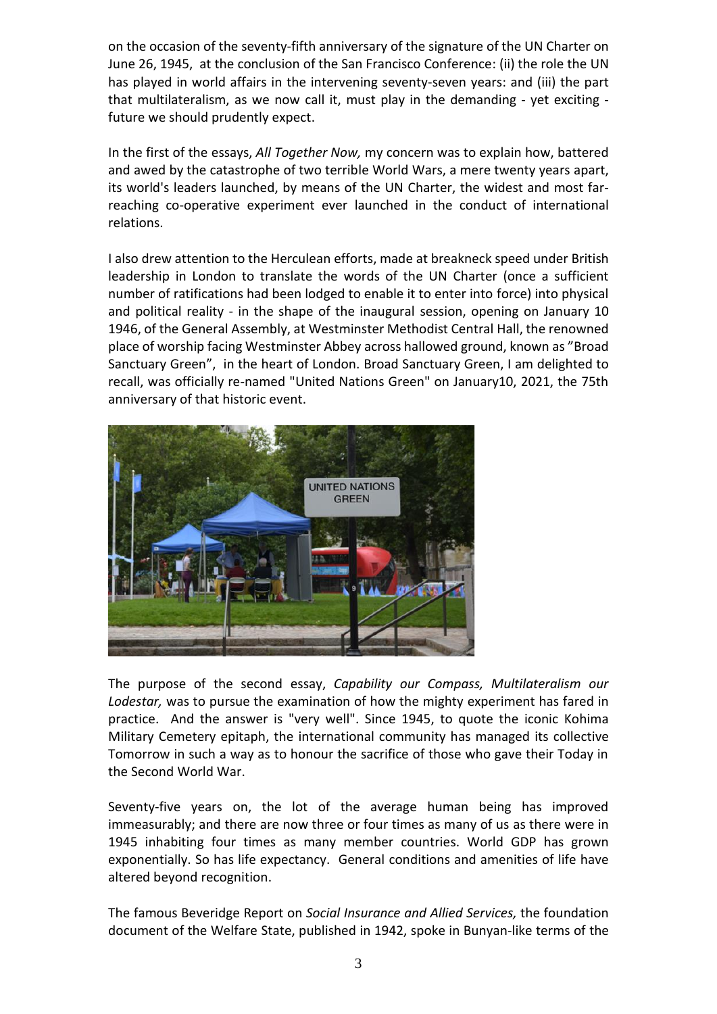on the occasion of the seventy-fifth anniversary of the signature of the UN Charter on June 26, 1945, at the conclusion of the San Francisco Conference: (ii) the role the UN has played in world affairs in the intervening seventy-seven years: and (iii) the part that multilateralism, as we now call it, must play in the demanding - yet exciting future we should prudently expect.

In the first of the essays, *All Together Now,* my concern was to explain how, battered and awed by the catastrophe of two terrible World Wars, a mere twenty years apart, its world's leaders launched, by means of the UN Charter, the widest and most farreaching co-operative experiment ever launched in the conduct of international relations.

I also drew attention to the Herculean efforts, made at breakneck speed under British leadership in London to translate the words of the UN Charter (once a sufficient number of ratifications had been lodged to enable it to enter into force) into physical and political reality - in the shape of the inaugural session, opening on January 10 1946, of the General Assembly, at Westminster Methodist Central Hall, the renowned place of worship facing Westminster Abbey across hallowed ground, known as "Broad Sanctuary Green", in the heart of London. Broad Sanctuary Green, I am delighted to recall, was officially re-named "United Nations Green" on January10, 2021, the 75th anniversary of that historic event.



The purpose of the second essay, *Capability our Compass, Multilateralism our Lodestar,* was to pursue the examination of how the mighty experiment has fared in practice. And the answer is "very well". Since 1945, to quote the iconic Kohima Military Cemetery epitaph, the international community has managed its collective Tomorrow in such a way as to honour the sacrifice of those who gave their Today in the Second World War.

Seventy-five years on, the lot of the average human being has improved immeasurably; and there are now three or four times as many of us as there were in 1945 inhabiting four times as many member countries. World GDP has grown exponentially. So has life expectancy. General conditions and amenities of life have altered beyond recognition.

The famous Beveridge Report on *Social Insurance and Allied Services,* the foundation document of the Welfare State, published in 1942, spoke in Bunyan-like terms of the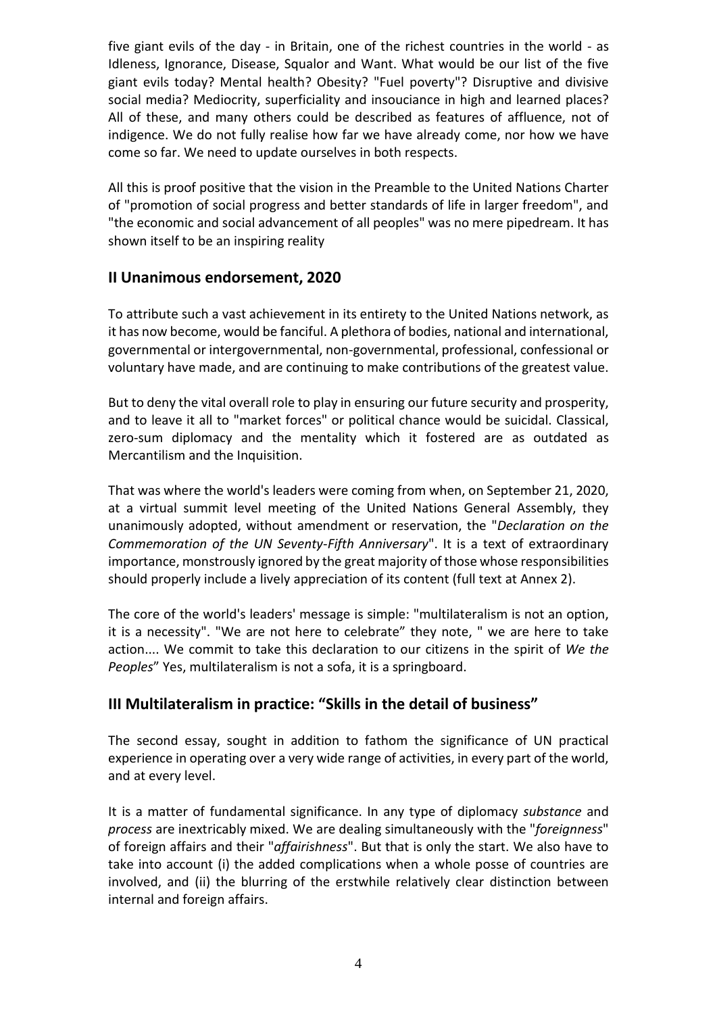five giant evils of the day - in Britain, one of the richest countries in the world - as Idleness, Ignorance, Disease, Squalor and Want. What would be our list of the five giant evils today? Mental health? Obesity? "Fuel poverty"? Disruptive and divisive social media? Mediocrity, superficiality and insouciance in high and learned places? All of these, and many others could be described as features of affluence, not of indigence. We do not fully realise how far we have already come, nor how we have come so far. We need to update ourselves in both respects.

All this is proof positive that the vision in the Preamble to the United Nations Charter of "promotion of social progress and better standards of life in larger freedom", and "the economic and social advancement of all peoples" was no mere pipedream. It has shown itself to be an inspiring reality

### **II Unanimous endorsement, 2020**

To attribute such a vast achievement in its entirety to the United Nations network, as it has now become, would be fanciful. A plethora of bodies, national and international, governmental or intergovernmental, non-governmental, professional, confessional or voluntary have made, and are continuing to make contributions of the greatest value.

But to deny the vital overall role to play in ensuring our future security and prosperity, and to leave it all to "market forces" or political chance would be suicidal. Classical, zero-sum diplomacy and the mentality which it fostered are as outdated as Mercantilism and the Inquisition.

That was where the world's leaders were coming from when, on September 21, 2020, at a virtual summit level meeting of the United Nations General Assembly, they unanimously adopted, without amendment or reservation, the "*Declaration on the Commemoration of the UN Seventy*-*Fifth Anniversary*". It is a text of extraordinary importance, monstrously ignored by the great majority of those whose responsibilities should properly include a lively appreciation of its content (full text at Annex 2).

The core of the world's leaders' message is simple: "multilateralism is not an option, it is a necessity". "We are not here to celebrate" they note, " we are here to take action.... We commit to take this declaration to our citizens in the spirit of *We the Peoples*" Yes, multilateralism is not a sofa, it is a springboard.

## **III Multilateralism in practice: "Skills in the detail of business"**

The second essay, sought in addition to fathom the significance of UN practical experience in operating over a very wide range of activities, in every part of the world, and at every level.

It is a matter of fundamental significance. In any type of diplomacy *substance* and *process* are inextricably mixed. We are dealing simultaneously with the "*foreignness*" of foreign affairs and their "*affairishness*". But that is only the start. We also have to take into account (i) the added complications when a whole posse of countries are involved, and (ii) the blurring of the erstwhile relatively clear distinction between internal and foreign affairs.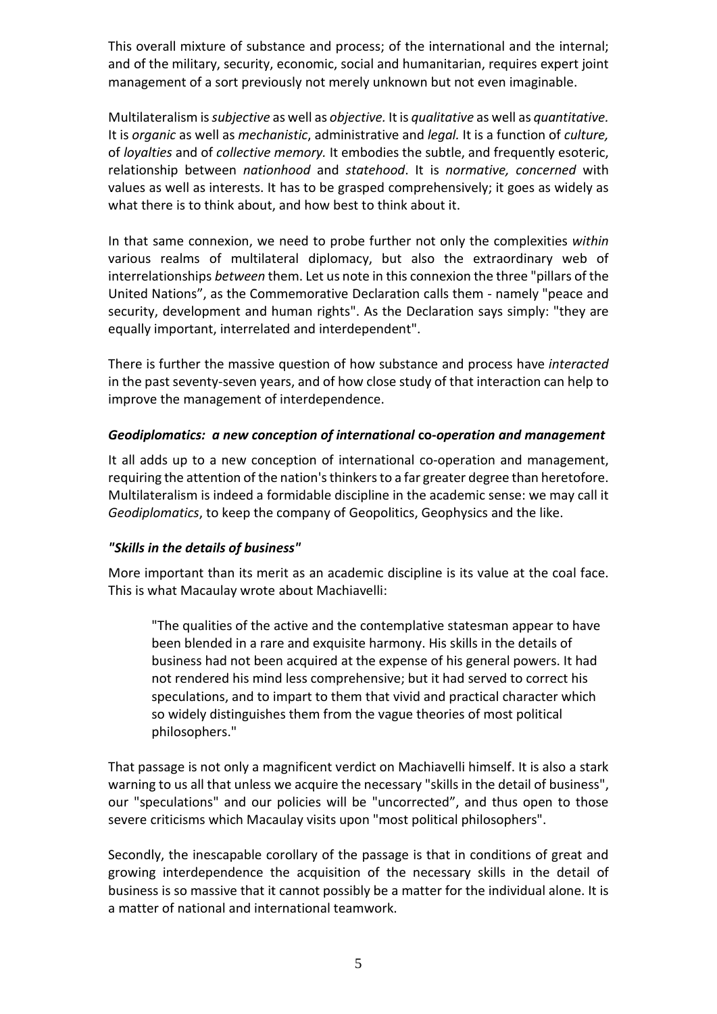This overall mixture of substance and process; of the international and the internal; and of the military, security, economic, social and humanitarian, requires expert joint management of a sort previously not merely unknown but not even imaginable.

Multilateralism is *subjective* as well as *objective.* It is *qualitative* as well as *quantitative.*  It is *organic* as well as *mechanistic*, administrative and *legal.* It is a function of *culture,* of *loyalties* and of *collective memory.* It embodies the subtle, and frequently esoteric, relationship between *nationhood* and *statehood*. It is *normative, concerned* with values as well as interests. It has to be grasped comprehensively; it goes as widely as what there is to think about, and how best to think about it.

In that same connexion, we need to probe further not only the complexities *within* various realms of multilateral diplomacy, but also the extraordinary web of interrelationships *between* them. Let us note in this connexion the three "pillars of the United Nations", as the Commemorative Declaration calls them - namely "peace and security, development and human rights". As the Declaration says simply: "they are equally important, interrelated and interdependent".

There is further the massive question of how substance and process have *interacted* in the past seventy-seven years, and of how close study of that interaction can help to improve the management of interdependence.

#### *Geodiplomatics: a new conception of international* **co-***operation and management*

It all adds up to a new conception of international co-operation and management, requiring the attention of the nation's thinkers to a far greater degree than heretofore. Multilateralism is indeed a formidable discipline in the academic sense: we may call it *Geodiplomatics*, to keep the company of Geopolitics, Geophysics and the like.

#### *"Skills in the details of business"*

More important than its merit as an academic discipline is its value at the coal face. This is what Macaulay wrote about Machiavelli:

"The qualities of the active and the contemplative statesman appear to have been blended in a rare and exquisite harmony. His skills in the details of business had not been acquired at the expense of his general powers. It had not rendered his mind less comprehensive; but it had served to correct his speculations, and to impart to them that vivid and practical character which so widely distinguishes them from the vague theories of most political philosophers."

That passage is not only a magnificent verdict on Machiavelli himself. It is also a stark warning to us all that unless we acquire the necessary "skills in the detail of business", our "speculations" and our policies will be "uncorrected", and thus open to those severe criticisms which Macaulay visits upon "most political philosophers".

Secondly, the inescapable corollary of the passage is that in conditions of great and growing interdependence the acquisition of the necessary skills in the detail of business is so massive that it cannot possibly be a matter for the individual alone. It is a matter of national and international teamwork.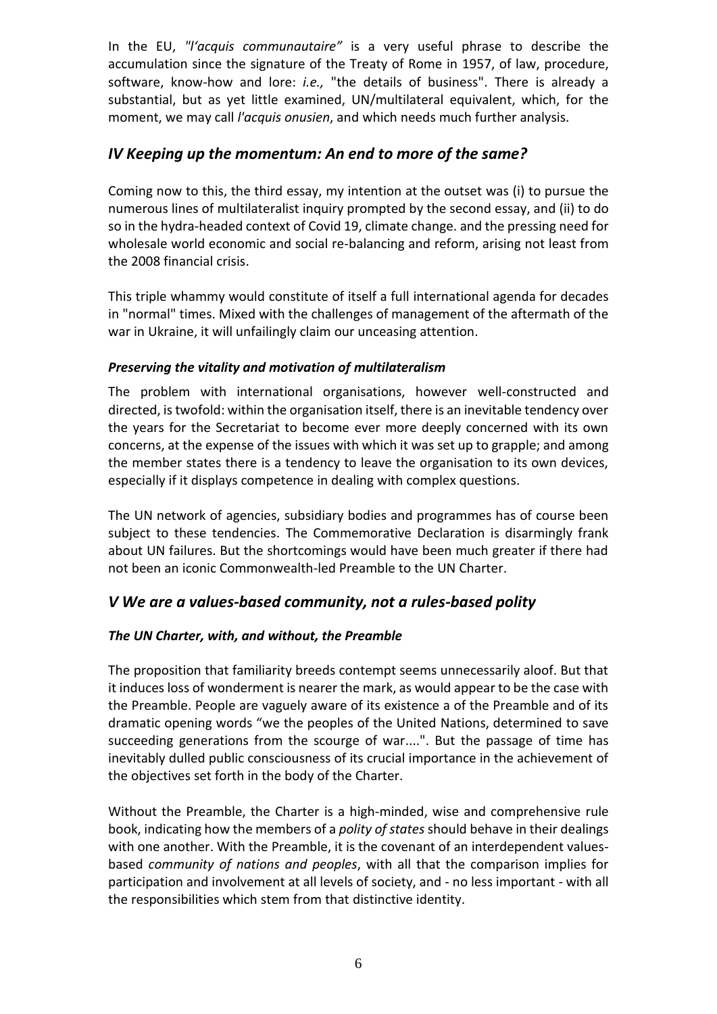In the EU, *"l'acquis communautaire"* is a very useful phrase to describe the accumulation since the signature of the Treaty of Rome in 1957, of law, procedure, software, know-how and lore: *i.e.,* "the details of business". There is already a substantial, but as yet little examined, UN/multilateral equivalent, which, for the moment, we may call *l'acquis onusien*, and which needs much further analysis.

## *IV Keeping up the momentum: An end to more of the same?*

Coming now to this, the third essay, my intention at the outset was (i) to pursue the numerous lines of multilateralist inquiry prompted by the second essay, and (ii) to do so in the hydra-headed context of Covid 19, climate change. and the pressing need for wholesale world economic and social re-balancing and reform, arising not least from the 2008 financial crisis.

This triple whammy would constitute of itself a full international agenda for decades in "normal" times. Mixed with the challenges of management of the aftermath of the war in Ukraine, it will unfailingly claim our unceasing attention.

#### *Preserving the vitality and motivation of multilateralism*

The problem with international organisations, however well-constructed and directed, is twofold: within the organisation itself, there is an inevitable tendency over the years for the Secretariat to become ever more deeply concerned with its own concerns, at the expense of the issues with which it was set up to grapple; and among the member states there is a tendency to leave the organisation to its own devices, especially if it displays competence in dealing with complex questions.

The UN network of agencies, subsidiary bodies and programmes has of course been subject to these tendencies. The Commemorative Declaration is disarmingly frank about UN failures. But the shortcomings would have been much greater if there had not been an iconic Commonwealth-led Preamble to the UN Charter.

## *V We are a values-based community, not a rules-based polity*

#### *The UN Charter, with, and without, the Preamble*

The proposition that familiarity breeds contempt seems unnecessarily aloof. But that it induces loss of wonderment is nearer the mark, as would appear to be the case with the Preamble. People are vaguely aware of its existence a of the Preamble and of its dramatic opening words "we the peoples of the United Nations, determined to save succeeding generations from the scourge of war....". But the passage of time has inevitably dulled public consciousness of its crucial importance in the achievement of the objectives set forth in the body of the Charter.

Without the Preamble, the Charter is a high-minded, wise and comprehensive rule book, indicating how the members of a *polity of states* should behave in their dealings with one another. With the Preamble, it is the covenant of an interdependent valuesbased *community of nations and peoples*, with all that the comparison implies for participation and involvement at all levels of society, and - no less important - with all the responsibilities which stem from that distinctive identity.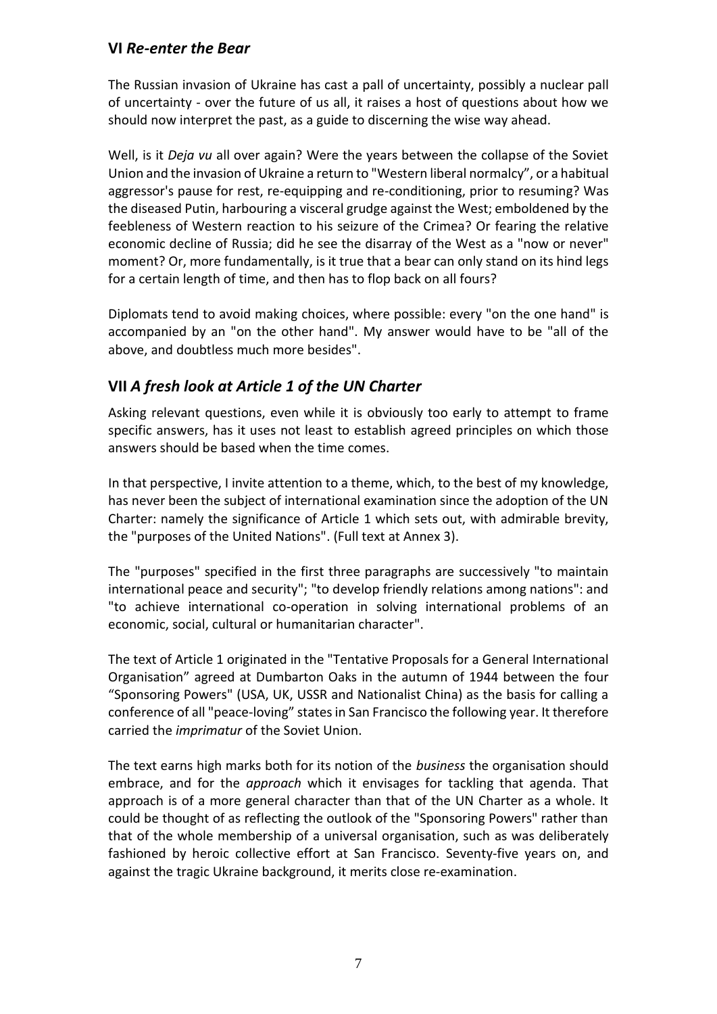## **VI** *Re-enter the Bear*

The Russian invasion of Ukraine has cast a pall of uncertainty, possibly a nuclear pall of uncertainty - over the future of us all, it raises a host of questions about how we should now interpret the past, as a guide to discerning the wise way ahead.

Well, is it *Deja vu* all over again? Were the years between the collapse of the Soviet Union and the invasion of Ukraine a return to "Western liberal normalcy", or a habitual aggressor's pause for rest, re-equipping and re-conditioning, prior to resuming? Was the diseased Putin, harbouring a visceral grudge against the West; emboldened by the feebleness of Western reaction to his seizure of the Crimea? Or fearing the relative economic decline of Russia; did he see the disarray of the West as a "now or never" moment? Or, more fundamentally, is it true that a bear can only stand on its hind legs for a certain length of time, and then has to flop back on all fours?

Diplomats tend to avoid making choices, where possible: every "on the one hand" is accompanied by an "on the other hand". My answer would have to be "all of the above, and doubtless much more besides".

## **VII** *A fresh look at Article 1 of the UN Charter*

Asking relevant questions, even while it is obviously too early to attempt to frame specific answers, has it uses not least to establish agreed principles on which those answers should be based when the time comes.

In that perspective, I invite attention to a theme, which, to the best of my knowledge, has never been the subject of international examination since the adoption of the UN Charter: namely the significance of Article 1 which sets out, with admirable brevity, the "purposes of the United Nations". (Full text at Annex 3).

The "purposes" specified in the first three paragraphs are successively "to maintain international peace and security"; "to develop friendly relations among nations": and "to achieve international co-operation in solving international problems of an economic, social, cultural or humanitarian character".

The text of Article 1 originated in the "Tentative Proposals for a General International Organisation" agreed at Dumbarton Oaks in the autumn of 1944 between the four "Sponsoring Powers" (USA, UK, USSR and Nationalist China) as the basis for calling a conference of all "peace-loving" states in San Francisco the following year. It therefore carried the *imprimatur* of the Soviet Union.

The text earns high marks both for its notion of the *business* the organisation should embrace, and for the *approach* which it envisages for tackling that agenda. That approach is of a more general character than that of the UN Charter as a whole. It could be thought of as reflecting the outlook of the "Sponsoring Powers" rather than that of the whole membership of a universal organisation, such as was deliberately fashioned by heroic collective effort at San Francisco. Seventy-five years on, and against the tragic Ukraine background, it merits close re-examination.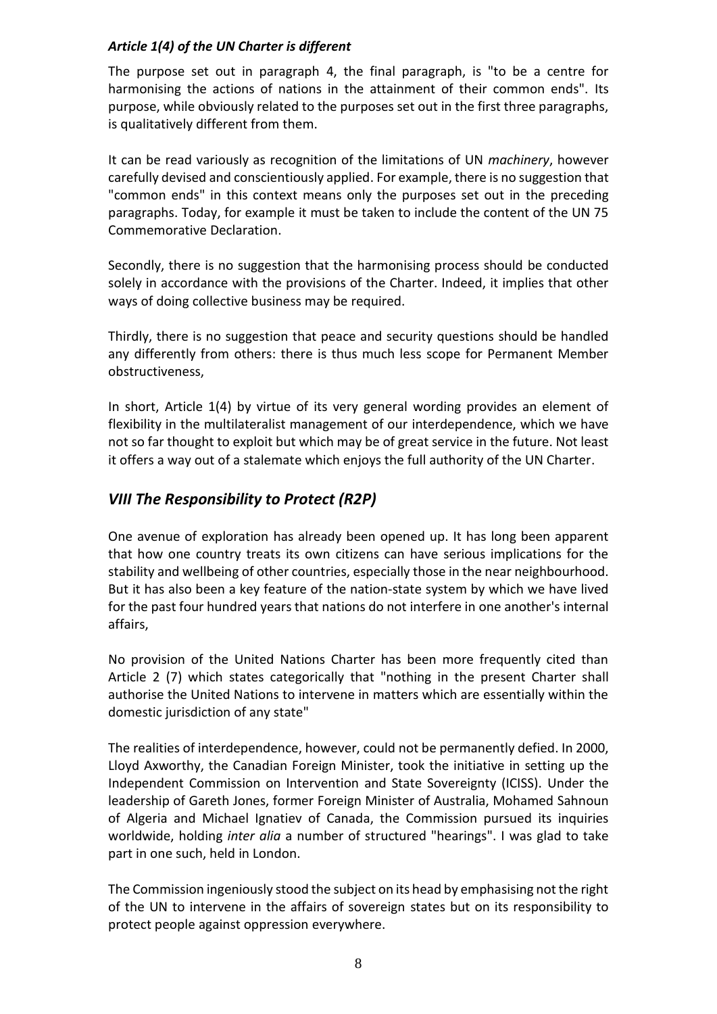#### *Article 1(4) of the UN Charter is different*

The purpose set out in paragraph 4, the final paragraph, is "to be a centre for harmonising the actions of nations in the attainment of their common ends". Its purpose, while obviously related to the purposes set out in the first three paragraphs, is qualitatively different from them.

It can be read variously as recognition of the limitations of UN *machinery*, however carefully devised and conscientiously applied. For example, there is no suggestion that "common ends" in this context means only the purposes set out in the preceding paragraphs. Today, for example it must be taken to include the content of the UN 75 Commemorative Declaration.

Secondly, there is no suggestion that the harmonising process should be conducted solely in accordance with the provisions of the Charter. Indeed, it implies that other ways of doing collective business may be required.

Thirdly, there is no suggestion that peace and security questions should be handled any differently from others: there is thus much less scope for Permanent Member obstructiveness,

In short, Article 1(4) by virtue of its very general wording provides an element of flexibility in the multilateralist management of our interdependence, which we have not so far thought to exploit but which may be of great service in the future. Not least it offers a way out of a stalemate which enjoys the full authority of the UN Charter.

## *VIII The Responsibility to Protect (R2P)*

One avenue of exploration has already been opened up. It has long been apparent that how one country treats its own citizens can have serious implications for the stability and wellbeing of other countries, especially those in the near neighbourhood. But it has also been a key feature of the nation-state system by which we have lived for the past four hundred years that nations do not interfere in one another's internal affairs,

No provision of the United Nations Charter has been more frequently cited than Article 2 (7) which states categorically that "nothing in the present Charter shall authorise the United Nations to intervene in matters which are essentially within the domestic jurisdiction of any state"

The realities of interdependence, however, could not be permanently defied. In 2000, Lloyd Axworthy, the Canadian Foreign Minister, took the initiative in setting up the Independent Commission on Intervention and State Sovereignty (ICISS). Under the leadership of Gareth Jones, former Foreign Minister of Australia, Mohamed Sahnoun of Algeria and Michael Ignatiev of Canada, the Commission pursued its inquiries worldwide, holding *inter alia* a number of structured "hearings". I was glad to take part in one such, held in London.

The Commission ingeniously stood the subject on its head by emphasising not the right of the UN to intervene in the affairs of sovereign states but on its responsibility to protect people against oppression everywhere.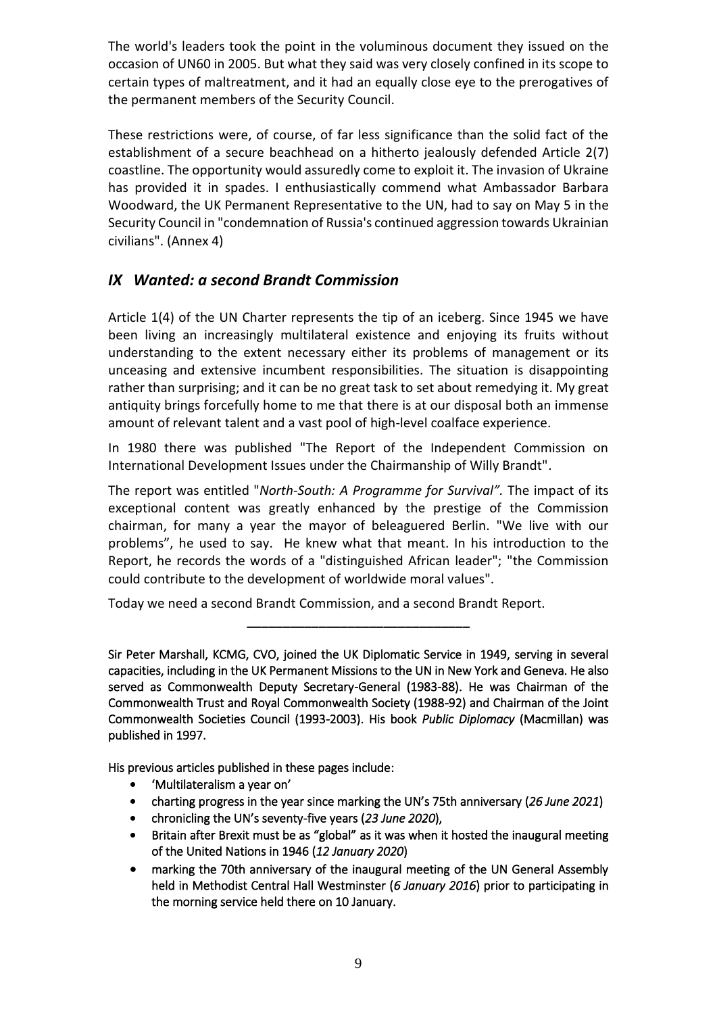The world's leaders took the point in the voluminous document they issued on the occasion of UN60 in 2005. But what they said was very closely confined in its scope to certain types of maltreatment, and it had an equally close eye to the prerogatives of the permanent members of the Security Council.

These restrictions were, of course, of far less significance than the solid fact of the establishment of a secure beachhead on a hitherto jealously defended Article 2(7) coastline. The opportunity would assuredly come to exploit it. The invasion of Ukraine has provided it in spades. I enthusiastically commend what Ambassador Barbara Woodward, the UK Permanent Representative to the UN, had to say on May 5 in the Security Council in "condemnation of Russia's continued aggression towards Ukrainian civilians". (Annex 4)

## *IX Wanted: a second Brandt Commission*

Article 1(4) of the UN Charter represents the tip of an iceberg. Since 1945 we have been living an increasingly multilateral existence and enjoying its fruits without understanding to the extent necessary either its problems of management or its unceasing and extensive incumbent responsibilities. The situation is disappointing rather than surprising; and it can be no great task to set about remedying it. My great antiquity brings forcefully home to me that there is at our disposal both an immense amount of relevant talent and a vast pool of high-level coalface experience.

In 1980 there was published "The Report of the Independent Commission on International Development Issues under the Chairmanship of Willy Brandt".

The report was entitled "*North-South: A Programme for Survival".* The impact of its exceptional content was greatly enhanced by the prestige of the Commission chairman, for many a year the mayor of beleaguered Berlin. "We live with our problems", he used to say. He knew what that meant. In his introduction to the Report, he records the words of a "distinguished African leader"; "the Commission could contribute to the development of worldwide moral values".

Today we need a second Brandt Commission, and a second Brandt Report.

Sir Peter Marshall, KCMG, CVO, joined the UK Diplomatic Service in 1949, serving in several capacities, including in the UK Permanent Missions to the UN in New York and Geneva. He also served as Commonwealth Deputy Secretary-General (1983-88). He was Chairman of the Commonwealth Trust and Royal Commonwealth Society (1988-92) and Chairman of the Joint Commonwealth Societies Council (1993-2003). His book *Public Diplomacy* (Macmillan) was published in 1997.

**\_\_\_\_\_\_\_\_\_\_\_\_\_\_\_\_\_\_\_\_\_\_\_\_\_\_\_\_\_\_\_**

His previous articles published in these pages include:

- 'Multilateralism a year on'
- charting progress in the year since marking the UN's 75th anniversary (*26 June 2021*)
- chronicling the UN's seventy-five years (*23 June 2020*),
- Britain after Brexit must be as "global" as it was when it hosted the inaugural meeting of the United Nations in 1946 (*12 January 2020*)
- marking the 70th anniversary of the inaugural meeting of the UN General Assembly held in Methodist Central Hall Westminster (*6 January 2016*) prior to participating in the morning service held there on 10 January.